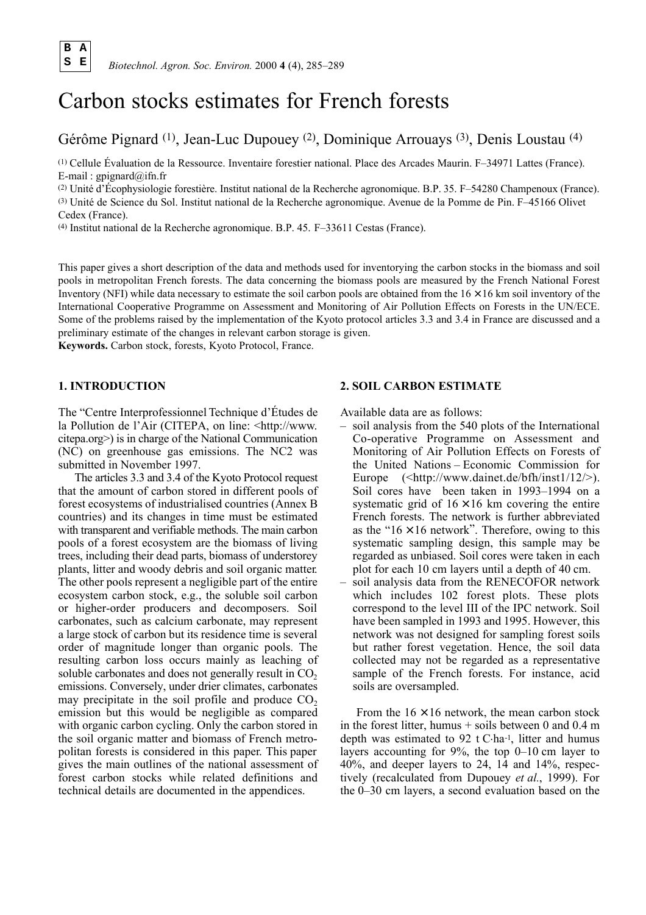**B A**

# Carbon stocks estimates for French forests

# Gérôme Pignard (1), Jean-Luc Dupouey (2), Dominique Arrouays (3), Denis Loustau (4)

(1) Cellule Évaluation de la Ressource. Inventaire forestier national. Place des Arcades Maurin. F–34971 Lattes (France). E-mail : gpignard $(\partial \rho)$ ifn.fr

( 2 ) Unité d'Écophysiologie forestière. Institut national de la Recherche agronomique. B.P. 3 5 . F–54280 Champenoux (France). (3) Unité de Science du Sol. Institut national de la Recherche agronomique. Avenue de la Pomme de Pin. F–45166 Olivet Cedex (France).

(4) Institut national de la Recherche agronomique. B.P. 45. F–33611 Cestas (France).

This paper gives a short description of the data and methods used for inventorying the carbon stocks in the biomass and soil pools in metropolitan French forests. The data concerning the biomass pools are measured by the French National Forest Inventory (NFI) while data necessary to estimate the soil carbon pools are obtained from the  $16 \times 16$  km soil inventory of the International Cooperative Programme on Assessment and Monitoring of Air Pollution Effects on Forests in the UN/ECE. Some of the problems raised by the implementation of the Kyoto protocol articles 3.3 and 3.4 in France are discussed and a preliminary estimate of the changes in relevant carbon storage is given.

**Keywords.** Carbon stock, forests, Kyoto Protocol, France.

## **1. INTRODUCTION**

The "Centre Interprofessionnel Technique d'Études de la Pollution de l'Air (CITEPA, on line: <http://www. citepa.org>) is in charge of the National Communication (NC) on greenhouse gas emissions. The NC2 was submitted in November 1997.

The articles 3.3 and 3.4 of the Kyoto Protocol request that the amount of carbon stored in different pools of forest ecosystems of industrialised countries (Annex B countries) and its changes in time must be estimated with transparent and verifiable methods. The main carbon pools of a forest ecosystem are the biomass of living trees, including their dead parts, biomass of understorey plants, litter and woody debris and soil organic matter. The other pools represent a negligible part of the entire ecosystem carbon stock, e.g., the soluble soil carbon or higher-order producers and decomposers. Soil carbonates, such as calcium carbonate, may represent a large stock of carbon but its residence time is several order of magnitude longer than organic pools. The resulting carbon loss occurs mainly as leaching of soluble carbonates and does not generally result in  $CO<sub>2</sub>$ emissions. Conversely, under drier climates, carbonates may precipitate in the soil profile and produce  $CO<sub>2</sub>$ emission but this would be negligible as compared with organic carbon cycling. Only the carbon stored in the soil organic matter and biomass of French metropolitan forests is considered in this paper. This paper gives the main outlines of the national assessment of forest carbon stocks while related definitions and technical details are documented in the appendices.

# **2. SOIL CARBON ESTIMATE**

Available data are as follows:

- soil analysis from the 540 plots of the International Co-operative Programme on Assessment and Monitoring of Air Pollution Effects on Forests of the United Nations – Economic Commission for Europe  $(\text{thttp:}/\text{/www.daintet.de/bfh/inst1/12/>}).$ Soil cores have been taken in 1993–1994 on a systematic grid of  $16 \times 16$  km covering the entire French forests. The network is further abbreviated as the " $16 \times 16$  network". Therefore, owing to this systematic sampling design, this sample may be regarded as unbiased. Soil cores were taken in each plot for each 10 cm layers until a depth of 40 cm.
- soil analysis data from the RENECOFOR network which includes 102 forest plots. These plots correspond to the level III of the IPC network. Soil have been sampled in 1993 and 1995. However, this network was not designed for sampling forest soils but rather forest vegetation. Hence, the soil data collected may not be regarded as a representative sample of the French forests. For instance, acid soils are oversampled.

From the  $16 \times 16$  network, the mean carbon stock in the forest litter, humus  $+$  soils between 0 and 0.4 m depth was estimated to 92 t C.ha-1, litter and humus layers accounting for 9%, the top 0–10 cm layer to 40%, and deeper layers to 24, 14 and 14%, respectively (recalculated from Dupouey *et al.*, 1999). For the 0–30 cm layers, a second evaluation based on the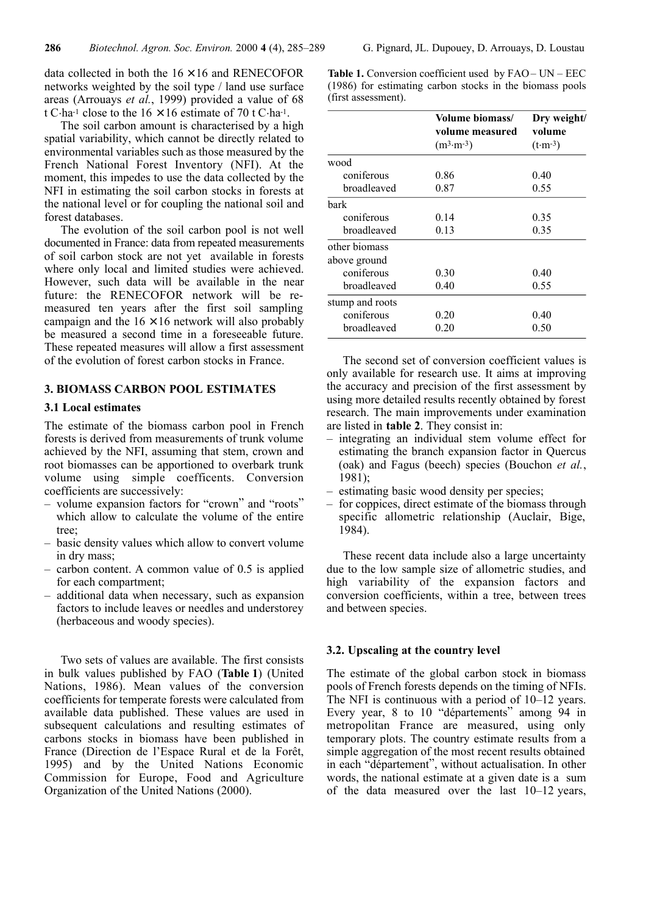data collected in both the  $16 \times 16$  and RENECOFOR networks weighted by the soil type / land use surface areas (Arrouays *et al.*, 1999) provided a value of 68 t C $\cdot$ ha<sup>-1</sup> close to the 16 × 16 estimate of 70 t C $\cdot$ ha<sup>-1</sup>.

The soil carbon amount is characterised by a high spatial variability, which cannot be directly related to environmental variables such as those measured by the French National Forest Inventory (NFI). At the moment, this impedes to use the data collected by the NFI in estimating the soil carbon stocks in forests at the national level or for coupling the national soil and forest databases.

The evolution of the soil carbon pool is not well documented in France: data from repeated measurements of soil carbon stock are not yet available in forests where only local and limited studies were achieved. However, such data will be available in the near future: the RENECOFOR network will be remeasured ten years after the first soil sampling campaign and the  $16 \times 16$  network will also probably be measured a second time in a foreseeable future. These repeated measures will allow a first assessment of the evolution of forest carbon stocks in France.

# **3. BIOMASS CARBON POOL ESTIMATES**

#### **3.1 Local estimates**

The estimate of the biomass carbon pool in French forests is derived from measurements of trunk volume achieved by the NFI, assuming that stem, crown and root biomasses can be apportioned to overbark trunk volume using simple coefficents. Conversion coefficients are successively:

- volume expansion factors for "crown" and "roots" which allow to calculate the volume of the entire tree;
- basic density values which allow to convert volume in dry mass;
- carbon content. A common value of 0.5 is applied for each compartment;
- additional data when necessary, such as expansion factors to include leaves or needles and understorey (herbaceous and woody species).

Two sets of values are available. The first consists in bulk values published by FAO (**Table 1**) (United Nations, 1986). Mean values of the conversion coefficients for temperate forests were calculated from available data published. These values are used in subsequent calculations and resulting estimates of carbons stocks in biomass have been published in France (Direction de l'Espace Rural et de la Forêt, 1995) and by the United Nations Economic Commission for Europe, Food and Agriculture Organization of the United Nations (2000).

**Table 1.** Conversion coefficient used by FAO– UN – EEC (1986) for estimating carbon stocks in the biomass pools (first assessment).

|                 | Volume biomass/      | Dry weight/        |  |
|-----------------|----------------------|--------------------|--|
|                 | volume measured      | volume             |  |
|                 | $(m^3 \cdot m^{-3})$ | $(t \cdot m^{-3})$ |  |
| wood            |                      |                    |  |
| coniferous      | 0.86                 | 0.40               |  |
| broadleaved     | 0.87                 | 0.55               |  |
| bark            |                      |                    |  |
| coniferous      | 0.14                 | 0.35               |  |
| broadleaved     | 0.13                 | 0.35               |  |
| other biomass   |                      |                    |  |
| above ground    |                      |                    |  |
| coniferous      | 0.30                 | 0.40               |  |
| broadleaved     | 0.40                 | 0.55               |  |
| stump and roots |                      |                    |  |
| coniferous      | 0.20                 | 0.40               |  |
| broadleaved     | 0.20                 | 0.50               |  |

The second set of conversion coefficient values is only available for research use. It aims at improving the accuracy and precision of the first assessment by using more detailed results recently obtained by forest research. The main improvements under examination are listed in **table 2**. They consist in:

- integrating an individual stem volume effect for estimating the branch expansion factor in Quercus (oak) and Fagus (beech) species (Bouchon *et al.*, 1981);
- estimating basic wood density per species;
- for coppices, direct estimate of the biomass through specific allometric relationship (Auclair, Bige, 1984).

These recent data include also a large uncertainty due to the low sample size of allometric studies, and high variability of the expansion factors and conversion coefficients, within a tree, between trees and between species.

### **3.2. Upscaling at the country level**

The estimate of the global carbon stock in biomass pools of French forests depends on the timing of NFIs. The NFI is continuous with a period of 10–12 years. Every year, 8 to 10 "départements" among 94 in metropolitan France are measured, using only temporary plots. The country estimate results from a simple aggregation of the most recent results obtained in each "département", without actualisation. In other words, the national estimate at a given date is a sum of the data measured over the last  $10-12$  years,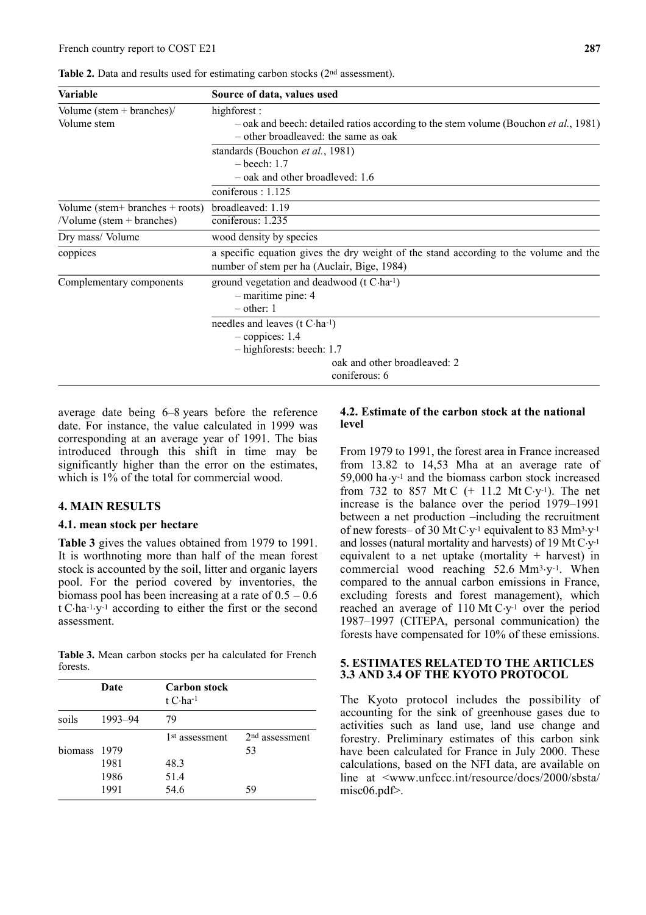| Table 2. Data and results used for estimating carbon stocks (2 <sup>nd</sup> assessment). |  |  |
|-------------------------------------------------------------------------------------------|--|--|
|-------------------------------------------------------------------------------------------|--|--|

| Variable                                   | Source of data, values used                                                                                                          |  |
|--------------------------------------------|--------------------------------------------------------------------------------------------------------------------------------------|--|
| Volume $(\text{stem} + \text{branches})$ / | highforest:                                                                                                                          |  |
| Volume stem                                | - oak and beech: detailed ratios according to the stem volume (Bouchon <i>et al.</i> , 1981)<br>- other broadleaved: the same as oak |  |
|                                            | standards (Bouchon et al., 1981)                                                                                                     |  |
|                                            | $-$ beech: 1.7                                                                                                                       |  |
|                                            | - oak and other broadleved: 1.6                                                                                                      |  |
|                                            | coniferous: 1.125                                                                                                                    |  |
| Volume (stem+ branches + roots)            | broadleaved: 1.19                                                                                                                    |  |
| $\sqrt{\text{Volume}}$ (stem + branches)   | coniferous: 1.235                                                                                                                    |  |
| Dry mass/Volume                            | wood density by species                                                                                                              |  |
| coppices                                   | a specific equation gives the dry weight of the stand according to the volume and the<br>number of stem per ha (Auclair, Bige, 1984) |  |
| Complementary components                   | ground vegetation and deadwood $(t C \cdot ha^{-1})$                                                                                 |  |
|                                            | $-$ maritime pine: 4                                                                                                                 |  |
|                                            | $-$ other: 1                                                                                                                         |  |
|                                            | needles and leaves (t C-ha-1)                                                                                                        |  |
|                                            | $-$ coppices: 1.4                                                                                                                    |  |
|                                            | - highforests: beech: 1.7                                                                                                            |  |
|                                            | oak and other broadleaved: 2                                                                                                         |  |
|                                            | coniferous: 6                                                                                                                        |  |

average date being 6–8 years before the reference date. For instance, the value calculated in 1999 was corresponding at an average year of 1991. The bias introduced through this shift in time may be significantly higher than the error on the estimates, which is  $1\%$  of the total for commercial wood.

# **4. MAIN RESULTS**

#### **4.1. mean stock per hectare**

**Table 3** gives the values obtained from 1979 to 1991. It is worthnoting more than half of the mean forest stock is accounted by the soil, litter and organic layers pool. For the period covered by inventories, the biomass pool has been increasing at a rate of  $0.5 - 0.6$ t C.ha-1.y-1 according to either the first or the second assessment.

**Table 3.** Mean carbon stocks per ha calculated for French forests.

|         | Date    | <b>Carbon</b> stock<br>t $C$ ·ha <sup>-1</sup> |                  |
|---------|---------|------------------------------------------------|------------------|
| soils   | 1993-94 | 79                                             |                  |
|         |         | 1 <sup>st</sup> assessment                     | $2nd$ assessment |
| biomass | 1979    |                                                | 53               |
|         | 1981    | 48.3                                           |                  |
|         | 1986    | 51.4                                           |                  |
|         | 1991    | 54.6                                           | 59               |

## **4.2. Estimate of the carbon stock at the national level**

From 1979 to 1991, the forest area in France increased from 13.82 to 14,53 Mha at an average rate of 59,000 ha $\cdot$ y<sup>-1</sup> and the biomass carbon stock increased from 732 to 857 Mt C  $(+ 11.2 \text{ Mt C} \cdot y^{-1})$ . The net increase is the balance over the period 1979–1991 between a net production –including the recruitment of new forests– of 30 Mt C $y$ <sup>1</sup> equivalent to 83 Mm<sup>3</sup> $y$ <sup>1</sup> and losses (natural mortality and harvests) of 19 Mt  $C-y$ <sup>1</sup> equivalent to a net uptake (mortality  $+$  harvest) in commercial wood reaching  $52.6 \text{ Mm}^3$ . When compared to the annual carbon emissions in France, excluding forests and forest management), which reached an average of  $110 \text{ Mt C} \cdot y$ <sup>1</sup> over the period 1987–1997 (CITEPA, personal communication) the forests have compensated for 10% of these emissions.

# **5. ESTIMATES RELATED TO THE ARTICLES 3.3 AND 3.4 OF THE KYOTO PROTOCOL**

The Kyoto protocol includes the possibility of accounting for the sink of greenhouse gases due to activities such as land use, land use change and forestry. Preliminary estimates of this carbon sink have been calculated for France in July 2000. These calculations, based on the NFI data, are available on line at  $\langle$ www.unfccc.int/resource/docs/2000/sbsta/ misc06.pdf>.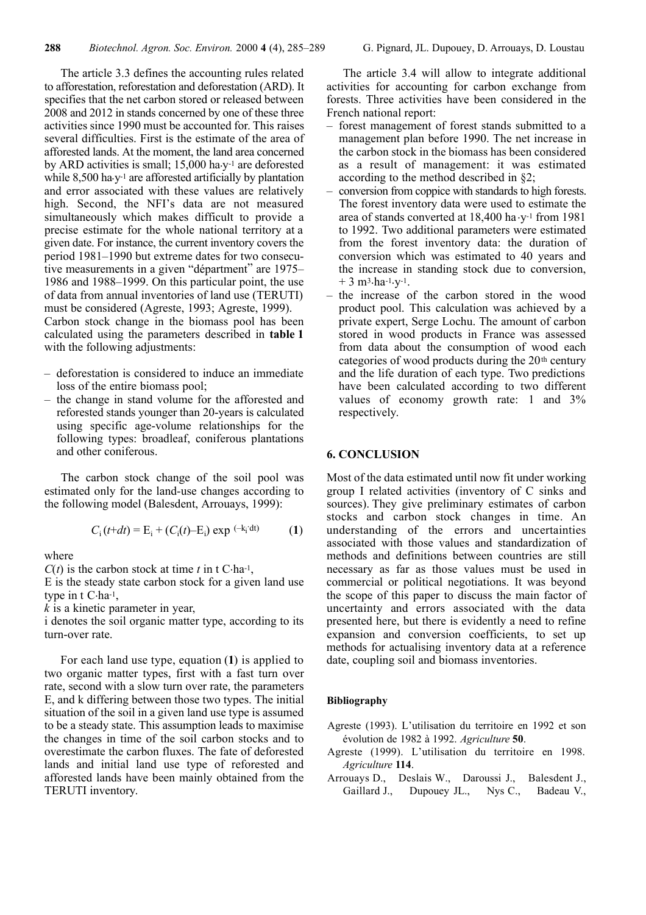The article 3.3 defines the accounting rules related to afforestation, reforestation and deforestation (ARD). It specifies that the net carbon stored or released between 2008 and 2012 in stands concerned by one of these three activities since 1990 must be accounted for. This raises several difficulties. First is the estimate of the area of afforested lands. At the moment, the land area concerned by ARD activities is small;  $15,000$  ha $v^{-1}$  are deforested while  $8,500$  ha.y<sup>-1</sup> are afforested artificially by plantation and error associated with these values are relatively high. Second, the NFI's data are not measured simultaneously which makes difficult to provide a precise estimate for the whole national territory at a given date. For instance, the current inventory covers the period 1981–1990 but extreme dates for two consecutive measurements in a given "départment" are 1975– 1986 and 1988–1999. On this particular point, the use of data from annual inventories of land use (TERUTI) must be considered (Agreste, 1993; Agreste, 1999).

Carbon stock change in the biomass pool has been calculated using the parameters described in **table 1** with the following adjustments:

- deforestation is considered to induce an immediate loss of the entire biomass pool;
- the change in stand volume for the afforested and reforested stands younger than 20-years is calculated using specific age-volume relationships for the following types: broadleaf, coniferous plantations and other coniferous.

The carbon stock change of the soil pool was estimated only for the land-use changes according to the following model (Balesdent, Arrouays, 1999):

$$
C_{i}(t+dt) = E_{i} + (C_{i}(t)-E_{i}) \exp\left(-k_{i} \cdot dt\right) \tag{1}
$$

where

 $C(t)$  is the carbon stock at time *t* in t C·ha-1,

E is the steady state carbon stock for a given land use type in t C.ha-1,

*k* is a kinetic parameter in year,

i denotes the soil organic matter type, according to its turn-over rate.

For each land use type, equation (**1**) is applied to two organic matter types, first with a fast turn over rate, second with a slow turn over rate, the parameters E, and k differing between those two types. The initial situation of the soil in a given land use type is assumed to be a steady state. This assumption leads to maximise the changes in time of the soil carbon stocks and to overestimate the carbon fluxes. The fate of deforested lands and initial land use type of reforested and afforested lands have been mainly obtained from the TERUTI inventory.

The article 3.4 will allow to integrate additional activities for accounting for carbon exchange from forests. Three activities have been considered in the French national report:

- forest management of forest stands submitted to a management plan before 1990. The net increase in the carbon stock in the biomass has been considered as a result of management: it was estimated according to the method described in §2;
- conversion from coppice with standards to high forests. The forest inventory data were used to estimate the area of stands converted at 18,400 ha.y-1 from 1981 to 1992. Two additional parameters were estimated from the forest inventory data: the duration of conversion which was estimated to 40 years and the increase in standing stock due to conversion,  $+3$  m<sup>3</sup>.ha<sup>-1</sup>.y<sup>-1</sup>.
- the increase of the carbon stored in the wood product pool. This calculation was achieved by a private expert, Serge Lochu. The amount of carbon stored in wood products in France was assessed from data about the consumption of wood each categories of wood products during the 20th century and the life duration of each type. Two predictions have been calculated according to two different values of economy growth rate: 1 and 3% respectively.

# **6. CONCLUSION**

Most of the data estimated until now fit under working group I related activities (inventory of C sinks and sources). They give preliminary estimates of carbon stocks and carbon stock changes in time. An understanding of the errors and uncertainties associated with those values and standardization of methods and definitions between countries are still necessary as far as those values must be used in commercial or political negotiations. It was beyond the scope of this paper to discuss the main factor of uncertainty and errors associated with the data presented here, but there is evidently a need to refine expansion and conversion coefficients, to set up methods for actualising inventory data at a reference date, coupling soil and biomass inventories.

## **Bibliography**

- Agreste (1993). L'utilisation du territoire en 1992 et son évolution de 1982 à 1992. *Agriculture* **50**.
- Agreste (1999). L'utilisation du territoire en 1998. *Agriculture* **114**.
- Arrouavs D., Deslais W., Daroussi J., Balesdent J., Gaillard J., Dupouey JL., Nys C., Badeau V.,